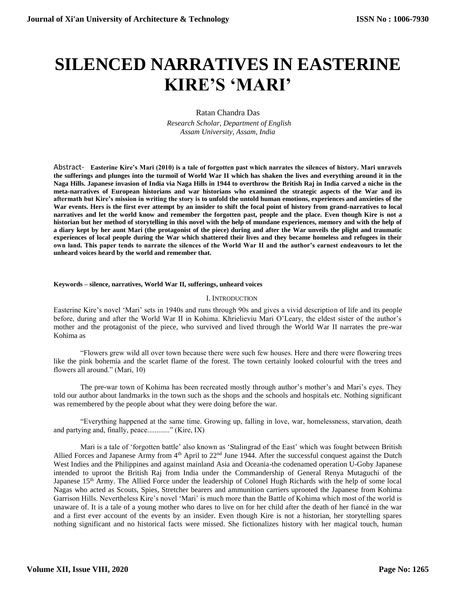## **SILENCED NARRATIVES IN EASTERINE KIRE'S 'MARI'**

Ratan Chandra Das  *Research Scholar, Department of English Assam University, Assam, India*

Abstract- **Easterine Kire's Mari (2010) is a tale of forgotten past which narrates the silences of history. Mari unravels the sufferings and plunges into the turmoil of World War II which has shaken the lives and everything around it in the Naga Hills. Japanese invasion of India via Naga Hills in 1944 to overthrow the British Raj in India carved a niche in the meta-narratives of European historians and war historians who examined the strategic aspects of the War and its aftermath but Kire's mission in writing the story is to unfold the untold human emotions, experiences and anxieties of the War events. Hers is the first ever attempt by an insider to shift the focal point of history from grand-narratives to local narratives and let the world know and remember the forgotten past, people and the place. Even though Kire is not a historian but her method of storytelling in this novel with the help of mundane experiences, memory and with the help of a diary kept by her aunt Mari (the protagonist of the piece) during and after the War unveils the plight and traumatic experiences of local people during the War which shattered their lives and they became homeless and refugees in their own land. This paper tends to narrate the silences of the World War II and the author's earnest endeavours to let the unheard voices heard by the world and remember that.**

## **Keywords – silence, narratives, World War II, sufferings, unheard voices**

## I. INTRODUCTION

Easterine Kire's novel 'Mari' sets in 1940s and runs through 90s and gives a vivid description of life and its people before, during and after the World War II in Kohima. Khrielieviu Mari O'Leary, the eldest sister of the author's mother and the protagonist of the piece, who survived and lived through the World War II narrates the pre-war Kohima as

"Flowers grew wild all over town because there were such few houses. Here and there were flowering trees like the pink bohemia and the scarlet flame of the forest. The town certainly looked colourful with the trees and flowers all around." (Mari, 10)

The pre-war town of Kohima has been recreated mostly through author's mother's and Mari's eyes. They told our author about landmarks in the town such as the shops and the schools and hospitals etc. Nothing significant was remembered by the people about what they were doing before the war.

"Everything happened at the same time. Growing up, falling in love, war, homelessness, starvation, death and partying and, finally, peace............" (Kire, IX)

Mari is a tale of 'forgotten battle' also known as 'Stalingrad of the East' which was fought between British Allied Forces and Japanese Army from 4<sup>th</sup> April to 22<sup>nd</sup> June 1944. After the successful conquest against the Dutch West Indies and the Philippines and against mainland Asia and Oceania-the codenamed operation U-Goby Japanese intended to uproot the British Raj from India under the Commandership of General Renya Mutaguchi of the Japanese 15<sup>th</sup> Army. The Allied Force under the leadership of Colonel Hugh Richards with the help of some local Nagas who acted as Scouts, Spies, Stretcher bearers and ammunition carriers uprooted the Japanese from Kohima Garrison Hills. Nevertheless Kire's novel 'Mari' is much more than the Battle of Kohima which most of the world is unaware of. It is a tale of a young mother who dares to live on for her child after the death of her fiancé in the war and a first ever account of the events by an insider. Even though Kire is not a historian, her storytelling spares nothing significant and no historical facts were missed. She fictionalizes history with her magical touch, human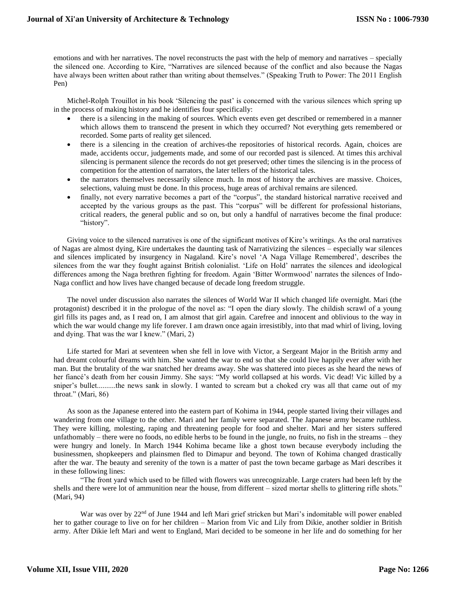emotions and with her narratives. The novel reconstructs the past with the help of memory and narratives – specially the silenced one. According to Kire, "Narratives are silenced because of the conflict and also because the Nagas have always been written about rather than writing about themselves." (Speaking Truth to Power: The 2011 English Pen)

Michel-Rolph Trouillot in his book 'Silencing the past' is concerned with the various silences which spring up in the process of making history and he identifies four specifically:

- there is a silencing in the making of sources. Which events even get described or remembered in a manner which allows them to transcend the present in which they occurred? Not everything gets remembered or recorded. Some parts of reality get silenced.
- there is a silencing in the creation of archives-the repositories of historical records. Again, choices are made, accidents occur, judgements made, and some of our recorded past is silenced. At times this archival silencing is permanent silence the records do not get preserved; other times the silencing is in the process of competition for the attention of narrators, the later tellers of the historical tales.
- the narrators themselves necessarily silence much. In most of history the archives are massive. Choices, selections, valuing must be done. In this process, huge areas of archival remains are silenced.
- finally, not every narrative becomes a part of the "corpus", the standard historical narrative received and accepted by the various groups as the past. This "corpus" will be different for professional historians, critical readers, the general public and so on, but only a handful of narratives become the final produce: "history".

Giving voice to the silenced narratives is one of the significant motives of Kire's writings. As the oral narratives of Nagas are almost dying, Kire undertakes the daunting task of Narrativizing the silences – especially war silences and silences implicated by insurgency in Nagaland. Kire's novel 'A Naga Village Remembered', describes the silences from the war they fought against British colonialist. 'Life on Hold' narrates the silences and ideological differences among the Naga brethren fighting for freedom. Again 'Bitter Wormwood' narrates the silences of Indo-Naga conflict and how lives have changed because of decade long freedom struggle.

The novel under discussion also narrates the silences of World War II which changed life overnight. Mari (the protagonist) described it in the prologue of the novel as: "I open the diary slowly. The childish scrawl of a young girl fills its pages and, as I read on, I am almost that girl again. Carefree and innocent and oblivious to the way in which the war would change my life forever. I am drawn once again irresistibly, into that mad whirl of living, loving and dying. That was the war I knew." (Mari, 2)

Life started for Mari at seventeen when she fell in love with Victor, a Sergeant Major in the British army and had dreamt colourful dreams with him. She wanted the war to end so that she could live happily ever after with her man. But the brutality of the war snatched her dreams away. She was shattered into pieces as she heard the news of her fiancé's death from her cousin Jimmy. She says: "My world collapsed at his words. Vic dead! Vic killed by a sniper's bullet..........the news sank in slowly. I wanted to scream but a choked cry was all that came out of my throat." (Mari, 86)

As soon as the Japanese entered into the eastern part of Kohima in 1944, people started living their villages and wandering from one village to the other. Mari and her family were separated. The Japanese army became ruthless. They were killing, molesting, raping and threatening people for food and shelter. Mari and her sisters suffered unfathomably – there were no foods, no edible herbs to be found in the jungle, no fruits, no fish in the streams – they were hungry and lonely. In March 1944 Kohima became like a ghost town because everybody including the businessmen, shopkeepers and plainsmen fled to Dimapur and beyond. The town of Kohima changed drastically after the war. The beauty and serenity of the town is a matter of past the town became garbage as Mari describes it in these following lines:

"The front yard which used to be filled with flowers was unrecognizable. Large craters had been left by the shells and there were lot of ammunition near the house, from different – sized mortar shells to glittering rifle shots." (Mari, 94)

War was over by 22<sup>nd</sup> of June 1944 and left Mari grief stricken but Mari's indomitable will power enabled her to gather courage to live on for her children – Marion from Vic and Lily from Dikie, another soldier in British army. After Dikie left Mari and went to England, Mari decided to be someone in her life and do something for her